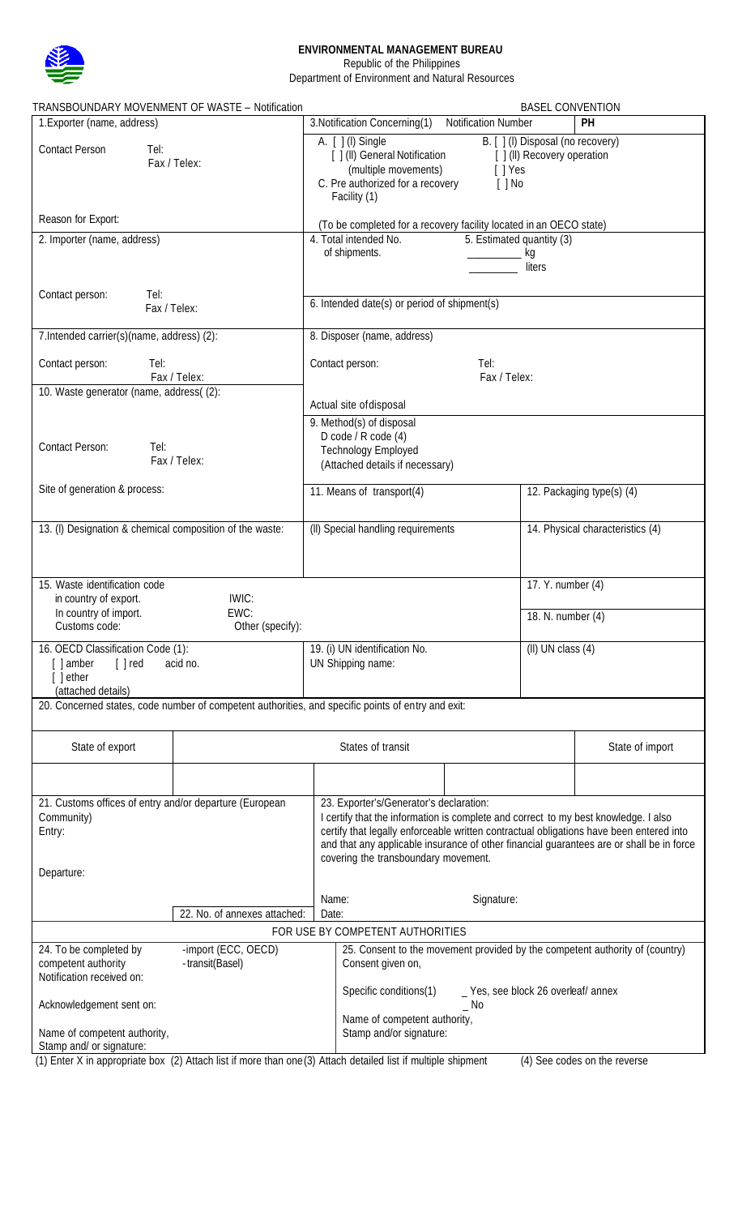

## **ENVIRONMENTAL MANAGEMENT BUREAU**

Republic of the Philippines

Department of Environment and Natural Resources

| TRANSBOUNDARY MOVENMENT OF WASTE - Notification                                                                                                                            | <b>BASEL CONVENTION</b>                                                                                                                                                                                                                                                                                                                                       |                                        |                                  |  |  |
|----------------------------------------------------------------------------------------------------------------------------------------------------------------------------|---------------------------------------------------------------------------------------------------------------------------------------------------------------------------------------------------------------------------------------------------------------------------------------------------------------------------------------------------------------|----------------------------------------|----------------------------------|--|--|
| 1. Exporter (name, address)                                                                                                                                                | 3. Notification Concerning(1)<br><b>Notification Number</b><br>PH                                                                                                                                                                                                                                                                                             |                                        |                                  |  |  |
| <b>Contact Person</b><br>Tel:<br>Fax / Telex:                                                                                                                              | A. [ ] (I) Single<br>B. [ ] (I) Disposal (no recovery)<br>[ ] (II) General Notification<br>[ ] (II) Recovery operation<br>(multiple movements)<br>[ ] Yes<br>C. Pre authorized for a recovery<br>$[$ $]$ No<br>Facility (1)                                                                                                                                   |                                        |                                  |  |  |
| Reason for Export:                                                                                                                                                         | (To be completed for a recovery facility located in an OECO state)                                                                                                                                                                                                                                                                                            |                                        |                                  |  |  |
| 2. Importer (name, address)                                                                                                                                                | 4. Total intended No.                                                                                                                                                                                                                                                                                                                                         | 5. Estimated quantity (3)              |                                  |  |  |
|                                                                                                                                                                            | of shipments.<br>kg<br>liters                                                                                                                                                                                                                                                                                                                                 |                                        |                                  |  |  |
| Contact person:<br>Tel:<br>Fax / Telex:                                                                                                                                    | 6. Intended date(s) or period of shipment(s)                                                                                                                                                                                                                                                                                                                  |                                        |                                  |  |  |
| 7. Intended carrier(s)(name, address) (2):                                                                                                                                 | 8. Disposer (name, address)                                                                                                                                                                                                                                                                                                                                   |                                        |                                  |  |  |
| Contact person:<br>Tel:<br>Fax / Telex:                                                                                                                                    | Contact person:<br>Tel:<br>Fax / Telex:                                                                                                                                                                                                                                                                                                                       |                                        |                                  |  |  |
| 10. Waste generator (name, address((2):                                                                                                                                    | Actual site of disposal                                                                                                                                                                                                                                                                                                                                       |                                        |                                  |  |  |
| Contact Person:<br>Tel:<br>Fax / Telex:                                                                                                                                    | 9. Method(s) of disposal<br>D code / R code (4)<br><b>Technology Employed</b><br>(Attached details if necessary)                                                                                                                                                                                                                                              |                                        |                                  |  |  |
| Site of generation & process:                                                                                                                                              | 11. Means of transport(4)                                                                                                                                                                                                                                                                                                                                     |                                        | 12. Packaging type(s) (4)        |  |  |
| 13. (I) Designation & chemical composition of the waste:                                                                                                                   | (II) Special handling requirements                                                                                                                                                                                                                                                                                                                            |                                        | 14. Physical characteristics (4) |  |  |
| 15. Waste identification code<br>IWIC:<br>in country of export.<br>In country of import.<br>EWC:<br>Customs code:<br>Other (specify):                                      |                                                                                                                                                                                                                                                                                                                                                               | 17. Y. number (4)<br>18. N. number (4) |                                  |  |  |
| 16. OECD Classification Code (1):<br>$[ ]$ red<br>[ ] amber<br>acid no.<br>$\lceil$ ether<br>(attached details)                                                            | 19. (i) UN identification No.<br>$(II)$ UN class $(4)$<br>UN Shipping name:                                                                                                                                                                                                                                                                                   |                                        |                                  |  |  |
| 20. Concerned states, code number of competent authorities, and specific points of entry and exit:                                                                         |                                                                                                                                                                                                                                                                                                                                                               |                                        |                                  |  |  |
| State of export                                                                                                                                                            | States of transit                                                                                                                                                                                                                                                                                                                                             |                                        | State of import                  |  |  |
|                                                                                                                                                                            |                                                                                                                                                                                                                                                                                                                                                               |                                        |                                  |  |  |
| 21. Customs offices of entry and/or departure (European<br>Community)<br>Entry:                                                                                            | 23. Exporter's/Generator's declaration:<br>I certify that the information is complete and correct to my best knowledge. I also<br>certify that legally enforceable written contractual obligations have been entered into<br>and that any applicable insurance of other financial guarantees are or shall be in force<br>covering the transboundary movement. |                                        |                                  |  |  |
| Departure:                                                                                                                                                                 |                                                                                                                                                                                                                                                                                                                                                               |                                        |                                  |  |  |
| 22. No. of annexes attached:                                                                                                                                               | Name:<br>Signature:<br>Date:                                                                                                                                                                                                                                                                                                                                  |                                        |                                  |  |  |
| FOR USE BY COMPETENT AUTHORITIES                                                                                                                                           |                                                                                                                                                                                                                                                                                                                                                               |                                        |                                  |  |  |
| -import (ECC, OECD)<br>24. To be completed by<br>competent authority<br>-transit(Basel)<br>Notification received on:                                                       | 25. Consent to the movement provided by the competent authority of (country)<br>Consent given on,                                                                                                                                                                                                                                                             |                                        |                                  |  |  |
| Acknowledgement sent on:                                                                                                                                                   | Specific conditions(1)<br>_ Yes, see block 26 overleaf/ annex<br>$\_$ No                                                                                                                                                                                                                                                                                      |                                        |                                  |  |  |
| Name of competent authority,<br>Stamp and/ or signature:<br>(1) Enter V in enprendicts here (2) Attech list if more than ano (2) Attech detailed list if multiple objement | Name of competent authority,<br>Stamp and/or signature:<br>$(4)$ Can anden an the reverse                                                                                                                                                                                                                                                                     |                                        |                                  |  |  |

(1) Enter X in appropriate box (2) Attach list if more than one(3) Attach detailed list if multiple shipment (4) See codes on the reverse